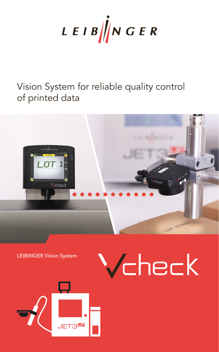

# Vision System for reliable quality control of printed data